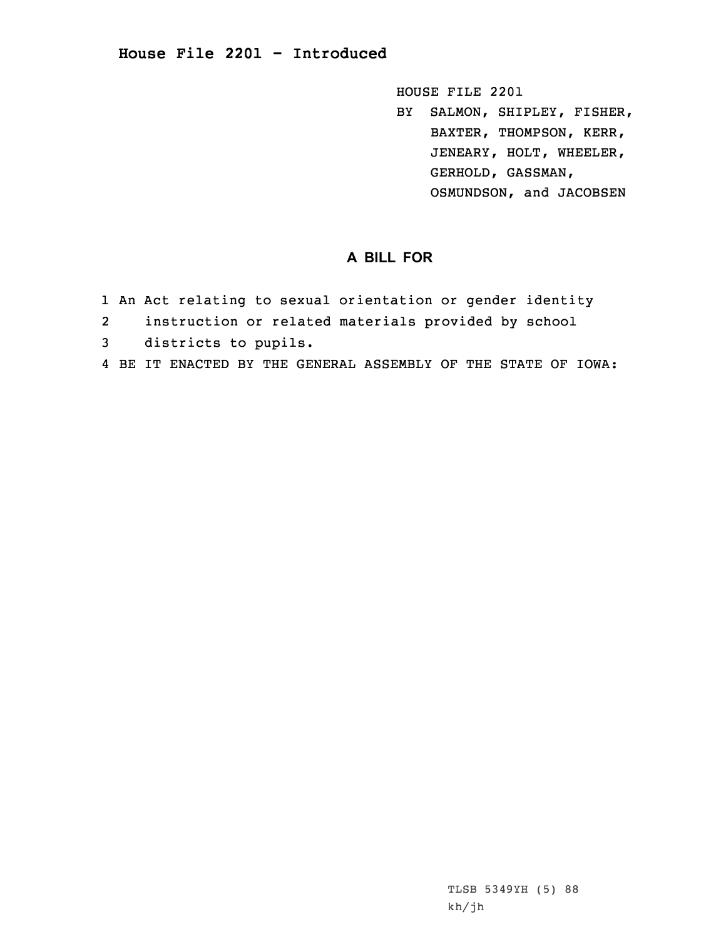HOUSE FILE 2201

BY SALMON, SHIPLEY, FISHER, BAXTER, THOMPSON, KERR, JENEARY, HOLT, WHEELER, GERHOLD, GASSMAN, OSMUNDSON, and JACOBSEN

## **A BILL FOR**

- 1 An Act relating to sexual orientation or gender identity
- 2instruction or related materials provided by school
- 3 districts to pupils.
- 4 BE IT ENACTED BY THE GENERAL ASSEMBLY OF THE STATE OF IOWA: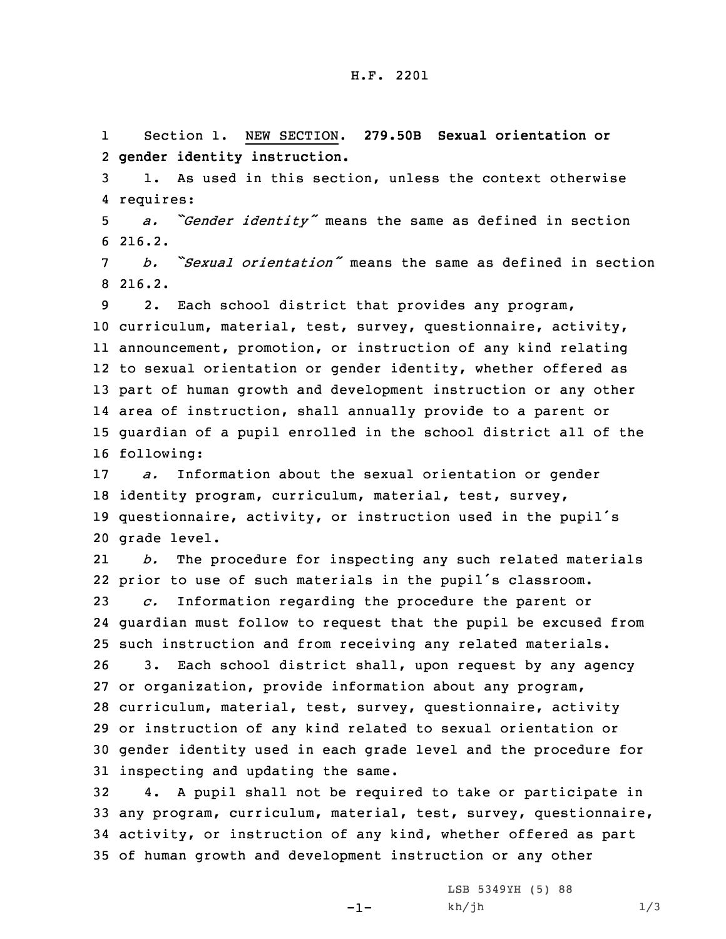1 Section 1. NEW SECTION. **279.50B Sexual orientation or** 2 **gender identity instruction.**

3 1. As used in this section, unless the context otherwise 4 requires:

<sup>5</sup> *a. "Gender identity"* means the same as defined in section 6 216.2.

7 *b. "Sexual orientation"* means the same as defined in section 8 216.2.

 2. Each school district that provides any program, curriculum, material, test, survey, questionnaire, activity, announcement, promotion, or instruction of any kind relating to sexual orientation or gender identity, whether offered as part of human growth and development instruction or any other area of instruction, shall annually provide to <sup>a</sup> parent or guardian of <sup>a</sup> pupil enrolled in the school district all of the following:

 *a.* Information about the sexual orientation or gender identity program, curriculum, material, test, survey, questionnaire, activity, or instruction used in the pupil's grade level.

21 *b.* The procedure for inspecting any such related materials prior to use of such materials in the pupil's classroom. *c.* Information regarding the procedure the parent or guardian must follow to request that the pupil be excused from such instruction and from receiving any related materials. 3. Each school district shall, upon request by any agency

 or organization, provide information about any program, curriculum, material, test, survey, questionnaire, activity or instruction of any kind related to sexual orientation or gender identity used in each grade level and the procedure for inspecting and updating the same.

 4. <sup>A</sup> pupil shall not be required to take or participate in any program, curriculum, material, test, survey, questionnaire, activity, or instruction of any kind, whether offered as part of human growth and development instruction or any other

-1-

LSB 5349YH (5) 88  $kh/jh$  1/3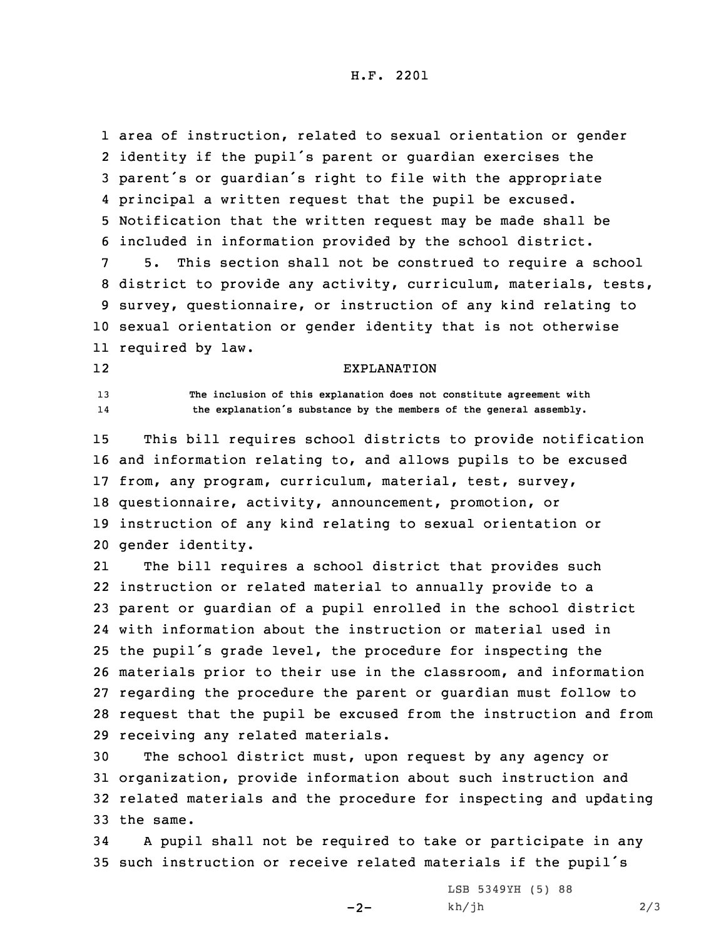H.F. 2201

 area of instruction, related to sexual orientation or gender identity if the pupil's parent or guardian exercises the parent's or guardian's right to file with the appropriate principal <sup>a</sup> written request that the pupil be excused. Notification that the written request may be made shall be included in information provided by the school district. 5. This section shall not be construed to require <sup>a</sup> school district to provide any activity, curriculum, materials, tests, survey, questionnaire, or instruction of any kind relating to sexual orientation or gender identity that is not otherwise required by law.

## EXPLANATION

13 **The inclusion of this explanation does not constitute agreement with** 14**the explanation's substance by the members of the general assembly.**

12

 This bill requires school districts to provide notification and information relating to, and allows pupils to be excused from, any program, curriculum, material, test, survey, questionnaire, activity, announcement, promotion, or instruction of any kind relating to sexual orientation or gender identity.

21 The bill requires <sup>a</sup> school district that provides such instruction or related material to annually provide to <sup>a</sup> parent or guardian of <sup>a</sup> pupil enrolled in the school district with information about the instruction or material used in the pupil's grade level, the procedure for inspecting the materials prior to their use in the classroom, and information regarding the procedure the parent or guardian must follow to request that the pupil be excused from the instruction and from receiving any related materials.

 The school district must, upon request by any agency or organization, provide information about such instruction and related materials and the procedure for inspecting and updating the same.

34 <sup>A</sup> pupil shall not be required to take or participate in any <sup>35</sup> such instruction or receive related materials if the pupil's

 $-2-$ 

LSB 5349YH (5) 88  $kh/jh$  2/3